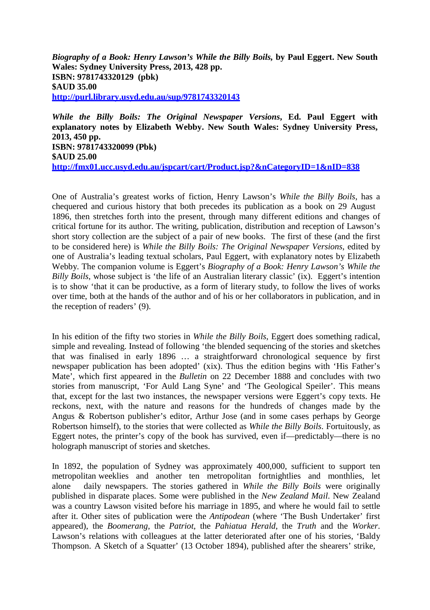*Biography of a Book: Henry Lawson's While the Billy Boils,* **by Paul Eggert. New South Wales: Sydney University Press, 2013, 428 pp. ISBN: 9781743320129 (pbk) \$AUD 35.00 <http://purl.library.usyd.edu.au/sup/9781743320143>**

*While the Billy Boils: The Original Newspaper Versions***, Ed. Paul Eggert with explanatory notes by Elizabeth Webby. New South Wales: Sydney University Press, 2013, 450 pp. ISBN: 9781743320099 (Pbk) \$AUD 25.00 <http://fmx01.ucc.usyd.edu.au/jspcart/cart/Product.jsp?&nCategoryID=1&nID=838>**

One of Australia's greatest works of fiction, Henry Lawson's *While the Billy Boils*, has a chequered and curious history that both precedes its publication as a book on 29 August 1896, then stretches forth into the present, through many different editions and changes of critical fortune for its author. The writing, publication, distribution and reception of Lawson's short story collection are the subject of a pair of new books. The first of these (and the first to be considered here) is *While the Billy Boils: The Original Newspaper Versions*, edited by one of Australia's leading textual scholars, Paul Eggert, with explanatory notes by Elizabeth Webby. The companion volume is Eggert's *Biography of a Book: Henry Lawson's While the Billy Boils*, whose subject is 'the life of an Australian literary classic' (ix). Eggert's intention is to show 'that it can be productive, as a form of literary study, to follow the lives of works over time, both at the hands of the author and of his or her collaborators in publication, and in the reception of readers' (9).

In his edition of the fifty two stories in *While the Billy Boils*, Eggert does something radical, simple and revealing. Instead of following 'the blended sequencing of the stories and sketches that was finalised in early 1896 … a straightforward chronological sequence by first newspaper publication has been adopted' (xix). Thus the edition begins with 'His Father's Mate', which first appeared in the *Bulletin* on 22 December 1888 and concludes with two stories from manuscript, 'For Auld Lang Syne' and 'The Geological Speiler'. This means that, except for the last two instances, the newspaper versions were Eggert's copy texts. He reckons, next, with the nature and reasons for the hundreds of changes made by the Angus & Robertson publisher's editor, Arthur Jose (and in some cases perhaps by George Robertson himself), to the stories that were collected as *While the Billy Boils*. Fortuitously, as Eggert notes, the printer's copy of the book has survived, even if—predictably—there is no holograph manuscript of stories and sketches.

In 1892, the population of Sydney was approximately 400,000, sufficient to support ten metropolitan weeklies and another ten metropolitan fortnightlies and monthlies, let alone daily newspapers. The stories gathered in *While the Billy Boils* were originally published in disparate places. Some were published in the *New Zealand Mail*. New Zealand was a country Lawson visited before his marriage in 1895, and where he would fail to settle after it. Other sites of publication were the *Antipodean* (where 'The Bush Undertaker' first appeared), the *Boomerang*, the *Patriot*, the *Pahiatua Herald*, the *Truth* and the *Worker*. Lawson's relations with colleagues at the latter deteriorated after one of his stories, 'Baldy Thompson. A Sketch of a Squatter' (13 October 1894), published after the shearers' strike,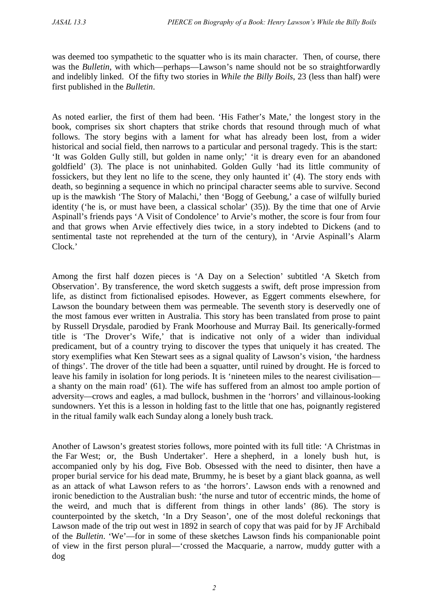was deemed too sympathetic to the squatter who is its main character. Then, of course, there was the *Bulletin*, with which—perhaps—Lawson's name should not be so straightforwardly and indelibly linked. Of the fifty two stories in *While the Billy Boils*, 23 (less than half) were first published in the *Bulletin*.

As noted earlier, the first of them had been. 'His Father's Mate,' the longest story in the book, comprises six short chapters that strike chords that resound through much of what follows. The story begins with a lament for what has already been lost, from a wider historical and social field, then narrows to a particular and personal tragedy. This is the start: 'It was Golden Gully still, but golden in name only;' 'it is dreary even for an abandoned goldfield' (3). The place is not uninhabited. Golden Gully 'had its little community of fossickers, but they lent no life to the scene, they only haunted it' (4). The story ends with death, so beginning a sequence in which no principal character seems able to survive. Second up is the mawkish 'The Story of Malachi,' then 'Bogg of Geebung,' a case of wilfully buried identity ('he is, or must have been, a classical scholar' (35)). By the time that one of Arvie Aspinall's friends pays 'A Visit of Condolence' to Arvie's mother, the score is four from four and that grows when Arvie effectively dies twice, in a story indebted to Dickens (and to sentimental taste not reprehended at the turn of the century), in 'Arvie Aspinall's Alarm Clock.'

Among the first half dozen pieces is 'A Day on a Selection' subtitled 'A Sketch from Observation'. By transference, the word sketch suggests a swift, deft prose impression from life, as distinct from fictionalised episodes. However, as Eggert comments elsewhere, for Lawson the boundary between them was permeable. The seventh story is deservedly one of the most famous ever written in Australia. This story has been translated from prose to paint by Russell Drysdale, parodied by Frank Moorhouse and Murray Bail. Its generically-formed title is 'The Drover's Wife,' that is indicative not only of a wider than individual predicament, but of a country trying to discover the types that uniquely it has created. The story exemplifies what Ken Stewart sees as a signal quality of Lawson's vision, 'the hardness of things'. The drover of the title had been a squatter, until ruined by drought. He is forced to leave his family in isolation for long periods. It is 'nineteen miles to the nearest civilisation a shanty on the main road' (61). The wife has suffered from an almost too ample portion of adversity—crows and eagles, a mad bullock, bushmen in the 'horrors' and villainous-looking sundowners. Yet this is a lesson in holding fast to the little that one has, poignantly registered in the ritual family walk each Sunday along a lonely bush track.

Another of Lawson's greatest stories follows, more pointed with its full title: 'A Christmas in the Far West; or, the Bush Undertaker'. Here a shepherd, in a lonely bush hut, is accompanied only by his dog, Five Bob. Obsessed with the need to disinter, then have a proper burial service for his dead mate, Brummy, he is beset by a giant black goanna, as well as an attack of what Lawson refers to as 'the horrors'. Lawson ends with a renowned and ironic benediction to the Australian bush: 'the nurse and tutor of eccentric minds, the home of the weird, and much that is different from things in other lands' (86). The story is counterpointed by the sketch, 'In a Dry Season', one of the most doleful reckonings that Lawson made of the trip out west in 1892 in search of copy that was paid for by JF Archibald of the *Bulletin*. 'We'—for in some of these sketches Lawson finds his companionable point of view in the first person plural—'crossed the Macquarie, a narrow, muddy gutter with a dog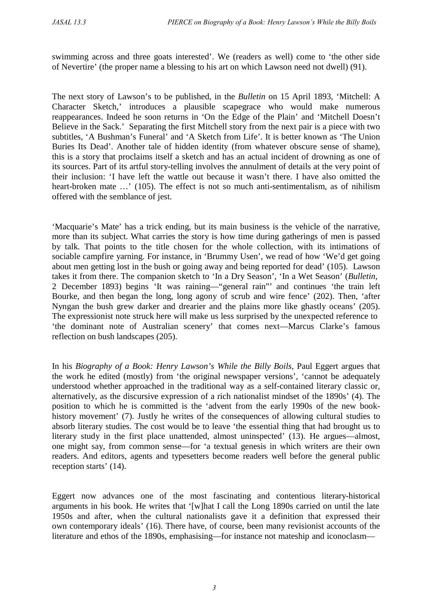swimming across and three goats interested'. We (readers as well) come to 'the other side of Nevertire' (the proper name a blessing to his art on which Lawson need not dwell) (91).

The next story of Lawson's to be published, in the *Bulletin* on 15 April 1893, 'Mitchell: A Character Sketch,' introduces a plausible scapegrace who would make numerous reappearances. Indeed he soon returns in 'On the Edge of the Plain' and 'Mitchell Doesn't Believe in the Sack.' Separating the first Mitchell story from the next pair is a piece with two subtitles, 'A Bushman's Funeral' and 'A Sketch from Life'. It is better known as 'The Union Buries Its Dead'. Another tale of hidden identity (from whatever obscure sense of shame), this is a story that proclaims itself a sketch and has an actual incident of drowning as one of its sources. Part of its artful story-telling involves the annulment of details at the very point of their inclusion: 'I have left the wattle out because it wasn't there. I have also omitted the heart-broken mate ...' (105). The effect is not so much anti-sentimentalism, as of nihilism offered with the semblance of jest.

'Macquarie's Mate' has a trick ending, but its main business is the vehicle of the narrative, more than its subject. What carries the story is how time during gatherings of men is passed by talk. That points to the title chosen for the whole collection, with its intimations of sociable campfire yarning. For instance, in 'Brummy Usen', we read of how 'We'd get going about men getting lost in the bush or going away and being reported for dead' (105). Lawson takes it from there. The companion sketch to 'In a Dry Season', 'In a Wet Season' (*Bulletin*, 2 December 1893) begins 'It was raining—"general rain"' and continues 'the train left Bourke, and then began the long, long agony of scrub and wire fence' (202). Then, 'after Nyngan the bush grew darker and drearier and the plains more like ghastly oceans' (205). The expressionist note struck here will make us less surprised by the unexpected reference to 'the dominant note of Australian scenery' that comes next—Marcus Clarke's famous reflection on bush landscapes (205).

In his *Biography of a Book: Henry Lawson's While the Billy Boils*, Paul Eggert argues that the work he edited (mostly) from 'the original newspaper versions', 'cannot be adequately understood whether approached in the traditional way as a self-contained literary classic or, alternatively, as the discursive expression of a rich nationalist mindset of the 1890s' (4). The position to which he is committed is the 'advent from the early 1990s of the new bookhistory movement' (7). Justly he writes of the consequences of allowing cultural studies to absorb literary studies. The cost would be to leave 'the essential thing that had brought us to literary study in the first place unattended, almost uninspected' (13). He argues—almost, one might say, from common sense—for 'a textual genesis in which writers are their own readers. And editors, agents and typesetters become readers well before the general public reception starts' (14).

Eggert now advances one of the most fascinating and contentious literary-historical arguments in his book. He writes that '[w]hat I call the Long 1890s carried on until the late 1950s and after, when the cultural nationalists gave it a definition that expressed their own contemporary ideals' (16). There have, of course, been many revisionist accounts of the literature and ethos of the 1890s, emphasising—for instance not mateship and iconoclasm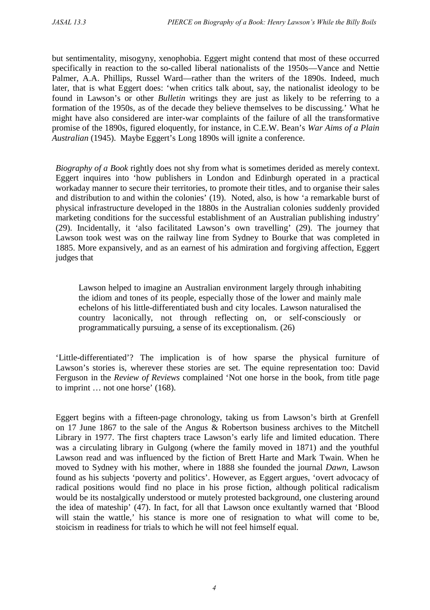but sentimentality, misogyny, xenophobia. Eggert might contend that most of these occurred specifically in reaction to the so-called liberal nationalists of the 1950s—Vance and Nettie Palmer, A.A. Phillips, Russel Ward—rather than the writers of the 1890s. Indeed, much later, that is what Eggert does: 'when critics talk about, say, the nationalist ideology to be found in Lawson's or other *Bulletin* writings they are just as likely to be referring to a formation of the 1950s, as of the decade they believe themselves to be discussing.' What he might have also considered are inter-war complaints of the failure of all the transformative promise of the 1890s, figured eloquently, for instance, in C.E.W. Bean's *War Aims of a Plain Australian* (1945). Maybe Eggert's Long 1890s will ignite a conference.

*Biography of a Book* rightly does not shy from what is sometimes derided as merely context. Eggert inquires into 'how publishers in London and Edinburgh operated in a practical workaday manner to secure their territories, to promote their titles, and to organise their sales and distribution to and within the colonies' (19). Noted, also, is how 'a remarkable burst of physical infrastructure developed in the 1880s in the Australian colonies suddenly provided marketing conditions for the successful establishment of an Australian publishing industry' (29). Incidentally, it 'also facilitated Lawson's own travelling' (29). The journey that Lawson took west was on the railway line from Sydney to Bourke that was completed in 1885. More expansively, and as an earnest of his admiration and forgiving affection, Eggert judges that

Lawson helped to imagine an Australian environment largely through inhabiting the idiom and tones of its people, especially those of the lower and mainly male echelons of his little-differentiated bush and city locales. Lawson naturalised the country laconically, not through reflecting on, or self-consciously or programmatically pursuing, a sense of its exceptionalism. (26)

'Little-differentiated'? The implication is of how sparse the physical furniture of Lawson's stories is, wherever these stories are set. The equine representation too: David Ferguson in the *Review of Reviews* complained 'Not one horse in the book, from title page to imprint … not one horse' (168).

Eggert begins with a fifteen-page chronology, taking us from Lawson's birth at Grenfell on 17 June 1867 to the sale of the Angus & Robertson business archives to the Mitchell Library in 1977. The first chapters trace Lawson's early life and limited education. There was a circulating library in Gulgong (where the family moved in 1871) and the youthful Lawson read and was influenced by the fiction of Brett Harte and Mark Twain. When he moved to Sydney with his mother, where in 1888 she founded the journal *Dawn*, Lawson found as his subjects 'poverty and politics'. However, as Eggert argues, 'overt advocacy of radical positions would find no place in his prose fiction, although political radicalism would be its nostalgically understood or mutely protested background, one clustering around the idea of mateship' (47). In fact, for all that Lawson once exultantly warned that 'Blood will stain the wattle,' his stance is more one of resignation to what will come to be, stoicism in readiness for trials to which he will not feel himself equal.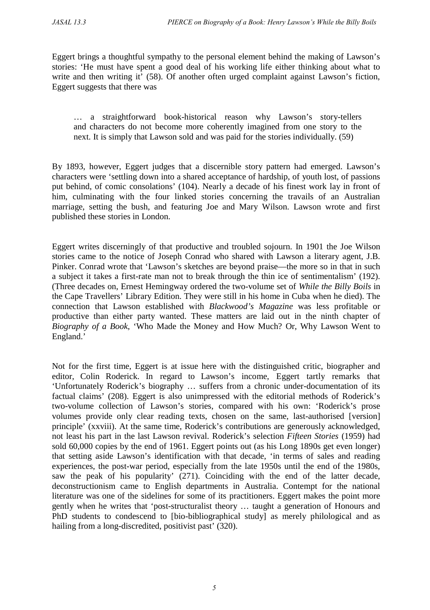Eggert brings a thoughtful sympathy to the personal element behind the making of Lawson's stories: 'He must have spent a good deal of his working life either thinking about what to write and then writing it' (58). Of another often urged complaint against Lawson's fiction, Eggert suggests that there was

… a straightforward book-historical reason why Lawson's story-tellers and characters do not become more coherently imagined from one story to the next. It is simply that Lawson sold and was paid for the stories individually. (59)

By 1893, however, Eggert judges that a discernible story pattern had emerged. Lawson's characters were 'settling down into a shared acceptance of hardship, of youth lost, of passions put behind, of comic consolations' (104). Nearly a decade of his finest work lay in front of him, culminating with the four linked stories concerning the travails of an Australian marriage, setting the bush, and featuring Joe and Mary Wilson. Lawson wrote and first published these stories in London.

Eggert writes discerningly of that productive and troubled sojourn. In 1901 the Joe Wilson stories came to the notice of Joseph Conrad who shared with Lawson a literary agent, J.B. Pinker. Conrad wrote that 'Lawson's sketches are beyond praise—the more so in that in such a subject it takes a first-rate man not to break through the thin ice of sentimentalism' (192). (Three decades on, Ernest Hemingway ordered the two-volume set of *While the Billy Boils* in the Cape Travellers' Library Edition. They were still in his home in Cuba when he died). The connection that Lawson established with *Blackwood's Magazine* was less profitable or productive than either party wanted. These matters are laid out in the ninth chapter of *Biography of a Book*, 'Who Made the Money and How Much? Or, Why Lawson Went to England.'

Not for the first time, Eggert is at issue here with the distinguished critic, biographer and editor, Colin Roderick. In regard to Lawson's income, Eggert tartly remarks that 'Unfortunately Roderick's biography … suffers from a chronic under-documentation of its factual claims' (208). Eggert is also unimpressed with the editorial methods of Roderick's two-volume collection of Lawson's stories, compared with his own: 'Roderick's prose volumes provide only clear reading texts, chosen on the same, last-authorised [version] principle' (xxviii). At the same time, Roderick's contributions are generously acknowledged, not least his part in the last Lawson revival. Roderick's selection *Fifteen Stories* (1959) had sold 60,000 copies by the end of 1961. Eggert points out (as his Long 1890s get even longer) that setting aside Lawson's identification with that decade, 'in terms of sales and reading experiences, the post-war period, especially from the late 1950s until the end of the 1980s, saw the peak of his popularity' (271). Coinciding with the end of the latter decade, deconstructionism came to English departments in Australia. Contempt for the national literature was one of the sidelines for some of its practitioners. Eggert makes the point more gently when he writes that 'post-structuralist theory … taught a generation of Honours and PhD students to condescend to [bio-bibliographical study] as merely philological and as hailing from a long-discredited, positivist past' (320).